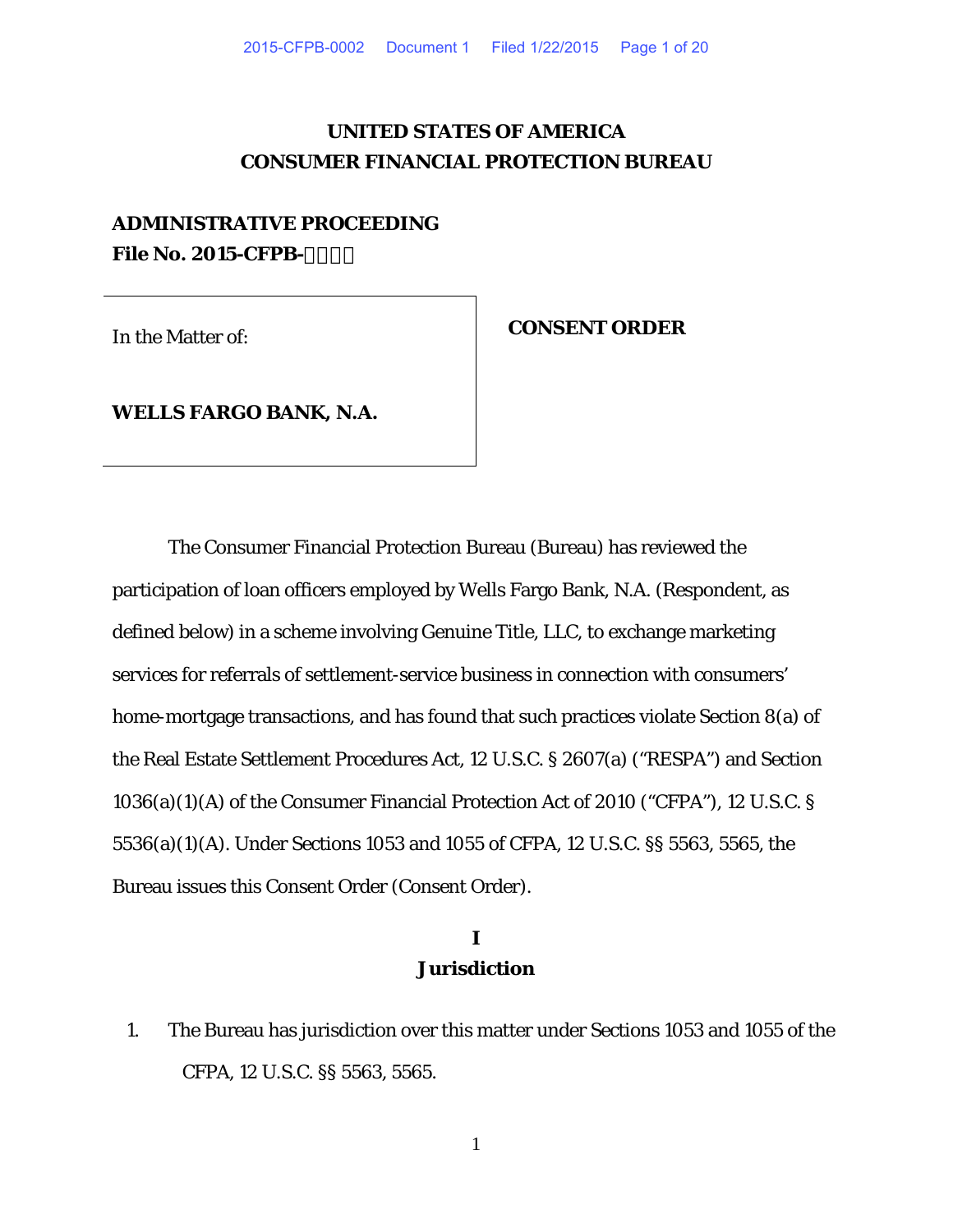# **UNITED STATES OF AMERICA CONSUMER FINANCIAL PROTECTION BUREAU**

# **ADMINISTRATIVE PROCEEDING File No. 2015-CFPB-**

In the Matter of: **CONSENT ORDER**

**WELLS FARGO BANK, N.A.**

The Consumer Financial Protection Bureau (Bureau) has reviewed the participation of loan officers employed by Wells Fargo Bank, N.A. (Respondent, as defined below) in a scheme involving Genuine Title, LLC, to exchange marketing services for referrals of settlement-service business in connection with consumers' home-mortgage transactions, and has found that such practices violate Section 8(a) of the Real Estate Settlement Procedures Act, 12 U.S.C. § 2607(a) ("RESPA") and Section 1036(a)(1)(A) of the Consumer Financial Protection Act of 2010 ("CFPA"), 12 U.S.C. § 5536(a)(1)(A). Under Sections 1053 and 1055 of CFPA, 12 U.S.C. §§ 5563, 5565, the Bureau issues this Consent Order (Consent Order).

# **I Jurisdiction**

1. The Bureau has jurisdiction over this matter under Sections 1053 and 1055 of the CFPA, 12 U.S.C. §§ 5563, 5565.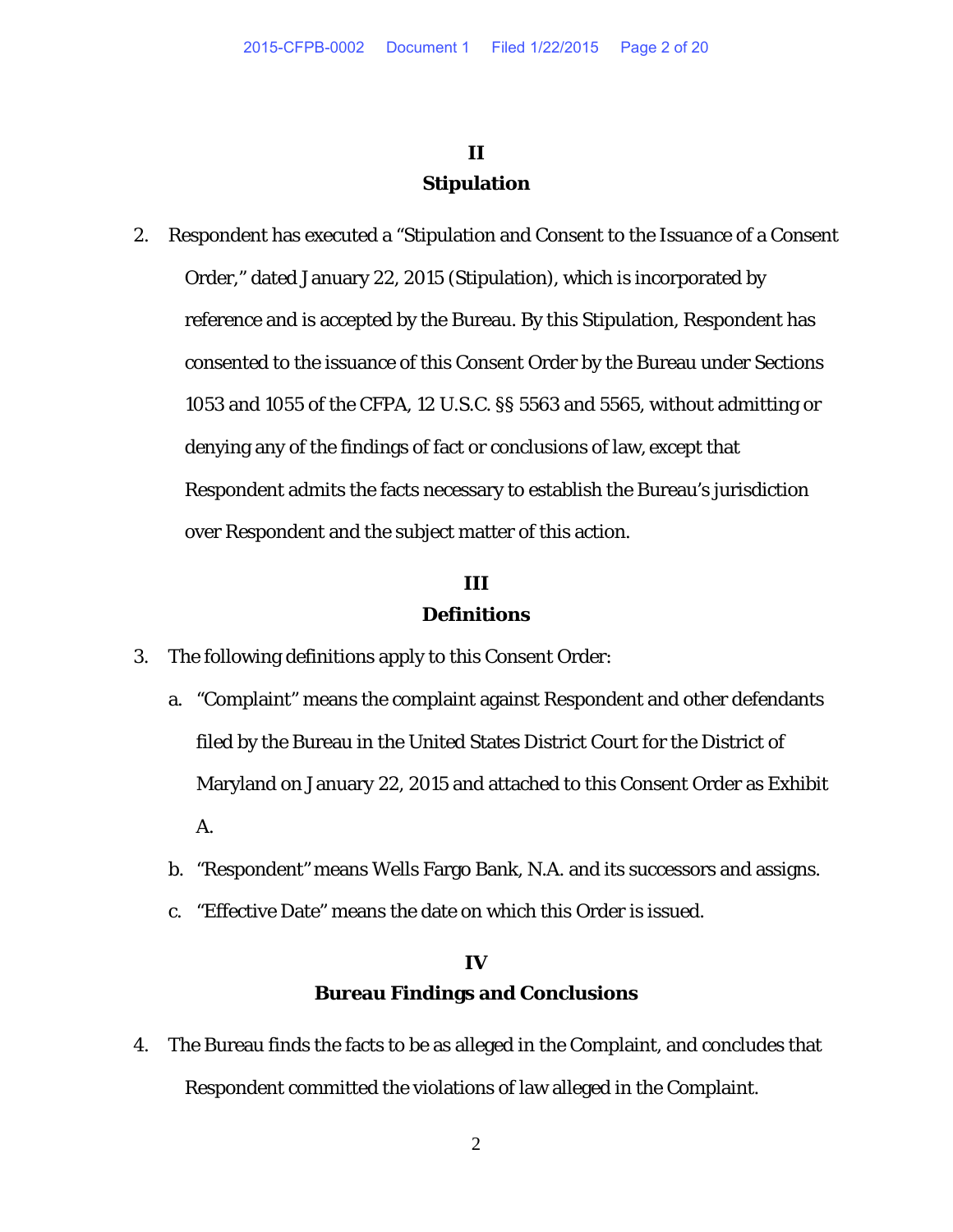# **II Stipulation**

2. Respondent has executed a "Stipulation and Consent to the Issuance of a Consent Order," dated January 22, 2015 (Stipulation), which is incorporated by reference and is accepted by the Bureau. By this Stipulation, Respondent has consented to the issuance of this Consent Order by the Bureau under Sections 1053 and 1055 of the CFPA, 12 U.S.C. §§ 5563 and 5565, without admitting or denying any of the findings of fact or conclusions of law, except that Respondent admits the facts necessary to establish the Bureau's jurisdiction over Respondent and the subject matter of this action.

# **III Definitions**

- 3. The following definitions apply to this Consent Order:
	- a. "Complaint" means the complaint against Respondent and other defendants filed by the Bureau in the United States District Court for the District of Maryland on January 22, 2015 and attached to this Consent Order as Exhibit A.
	- b. "Respondent" means Wells Fargo Bank, N.A. and its successors and assigns.
	- c. "Effective Date" means the date on which this Order is issued.

# **IV Bureau Findings and Conclusions**

4. The Bureau finds the facts to be as alleged in the Complaint, and concludes that Respondent committed the violations of law alleged in the Complaint.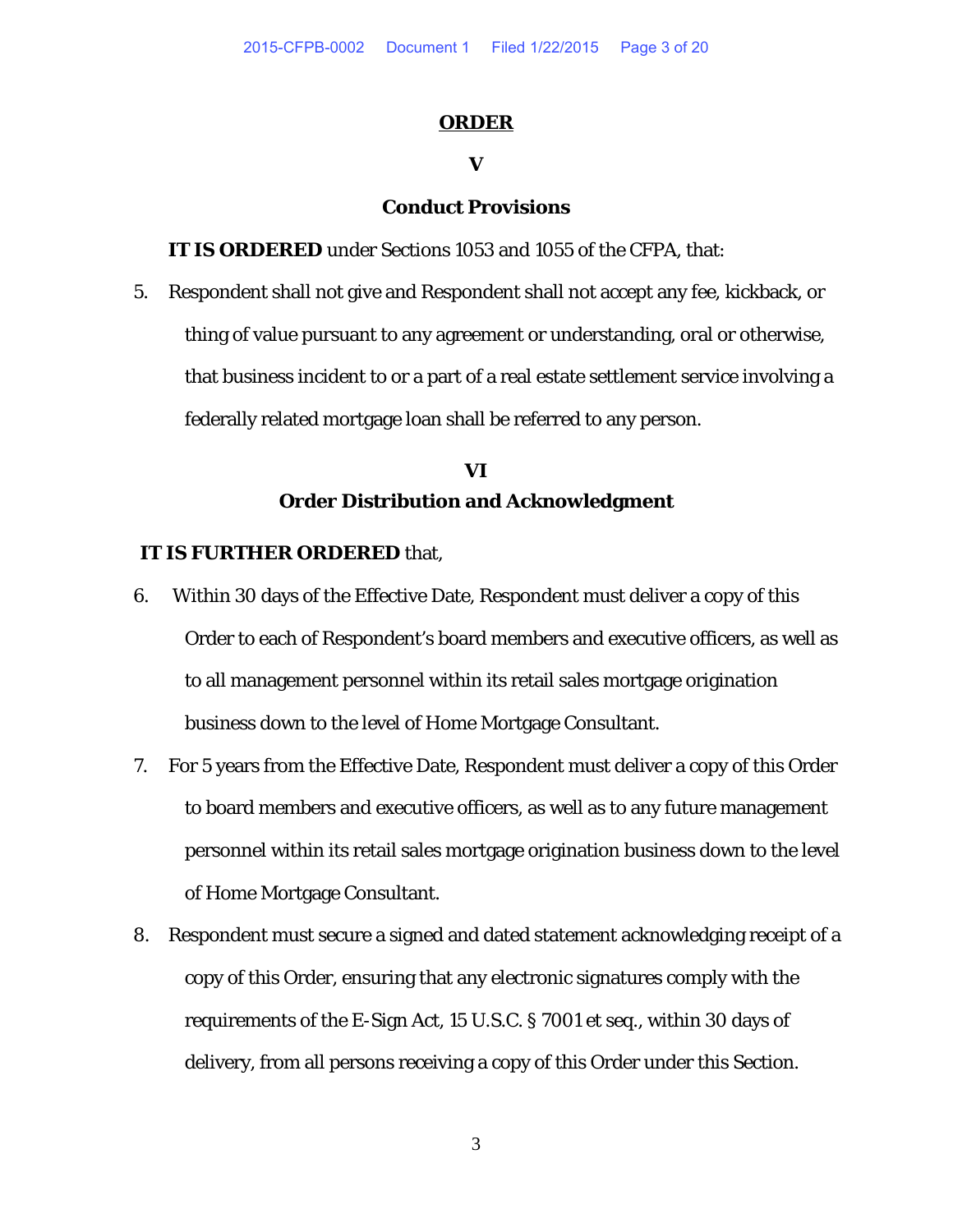#### **ORDER**

# **V**

### **Conduct Provisions**

**IT IS ORDERED** under Sections 1053 and 1055 of the CFPA, that:

5. Respondent shall not give and Respondent shall not accept any fee, kickback, or thing of value pursuant to any agreement or understanding, oral or otherwise, that business incident to or a part of a real estate settlement service involving a federally related mortgage loan shall be referred to any person.

# **VI Order Distribution and Acknowledgment**

#### **IT IS FURTHER ORDERED** that,

- 6. Within 30 days of the Effective Date, Respondent must deliver a copy of this Order to each of Respondent's board members and executive officers, as well as to all management personnel within its retail sales mortgage origination business down to the level of Home Mortgage Consultant.
- 7. For 5 years from the Effective Date, Respondent must deliver a copy of this Order to board members and executive officers, as well as to any future management personnel within its retail sales mortgage origination business down to the level of Home Mortgage Consultant.
- 8. Respondent must secure a signed and dated statement acknowledging receipt of a copy of this Order, ensuring that any electronic signatures comply with the requirements of the E-Sign Act, 15 U.S.C. § 7001 *et seq.*, within 30 days of delivery, from all persons receiving a copy of this Order under this Section.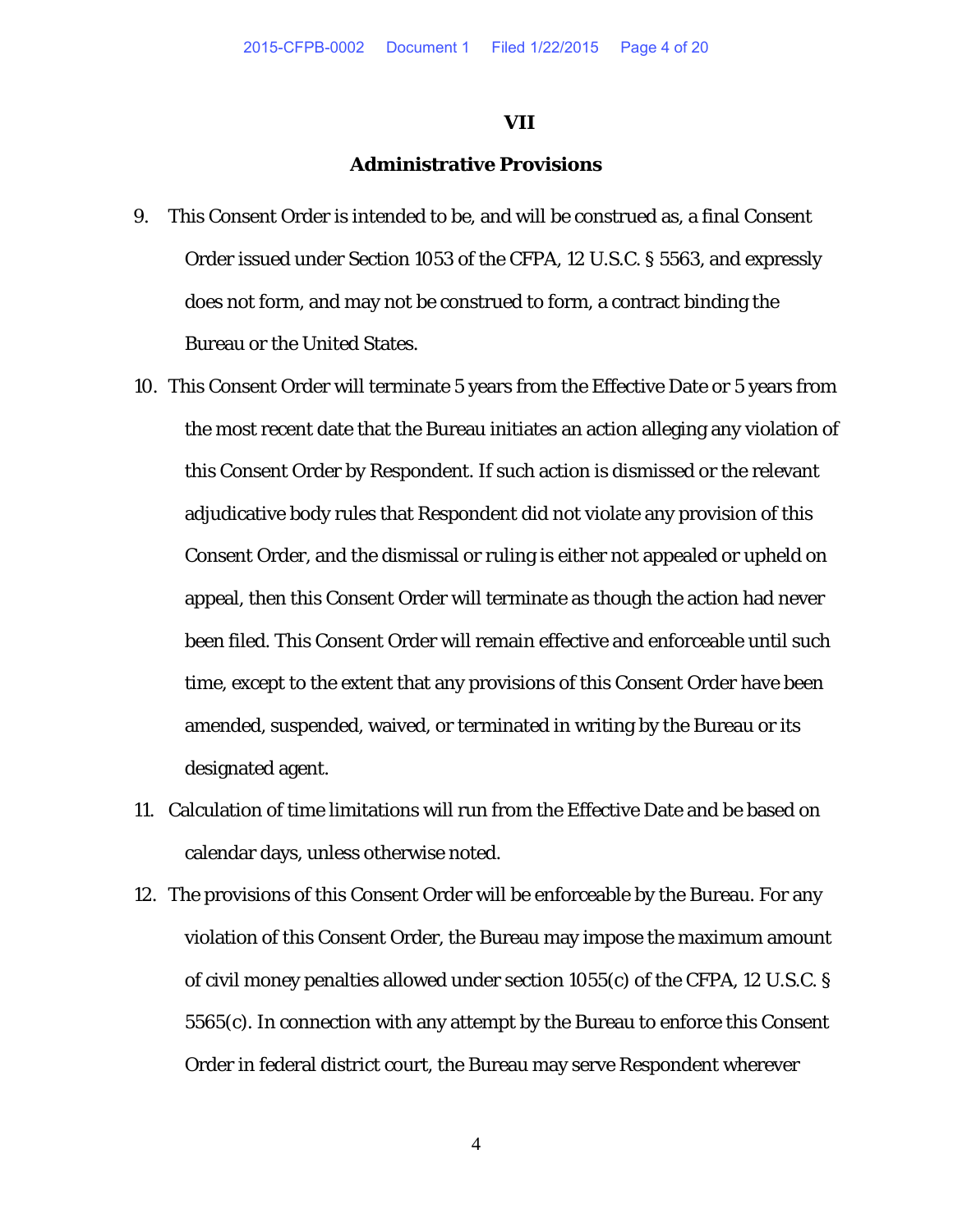#### **VII**

# **Administrative Provisions**

- 9. This Consent Order is intended to be, and will be construed as, a final Consent Order issued under Section 1053 of the CFPA, 12 U.S.C. § 5563, and expressly does not form, and may not be construed to form, a contract binding the Bureau or the United States.
- 10. This Consent Order will terminate 5 years from the Effective Date or 5 years from the most recent date that the Bureau initiates an action alleging any violation of this Consent Order by Respondent. If such action is dismissed or the relevant adjudicative body rules that Respondent did not violate any provision of this Consent Order, and the dismissal or ruling is either not appealed or upheld on appeal, then this Consent Order will terminate as though the action had never been filed. This Consent Order will remain effective and enforceable until such time, except to the extent that any provisions of this Consent Order have been amended, suspended, waived, or terminated in writing by the Bureau or its designated agent.
- 11. Calculation of time limitations will run from the Effective Date and be based on calendar days, unless otherwise noted.
- 12. The provisions of this Consent Order will be enforceable by the Bureau. For any violation of this Consent Order, the Bureau may impose the maximum amount of civil money penalties allowed under section 1055(c) of the CFPA, 12 U.S.C. § 5565(c). In connection with any attempt by the Bureau to enforce this Consent Order in federal district court, the Bureau may serve Respondent wherever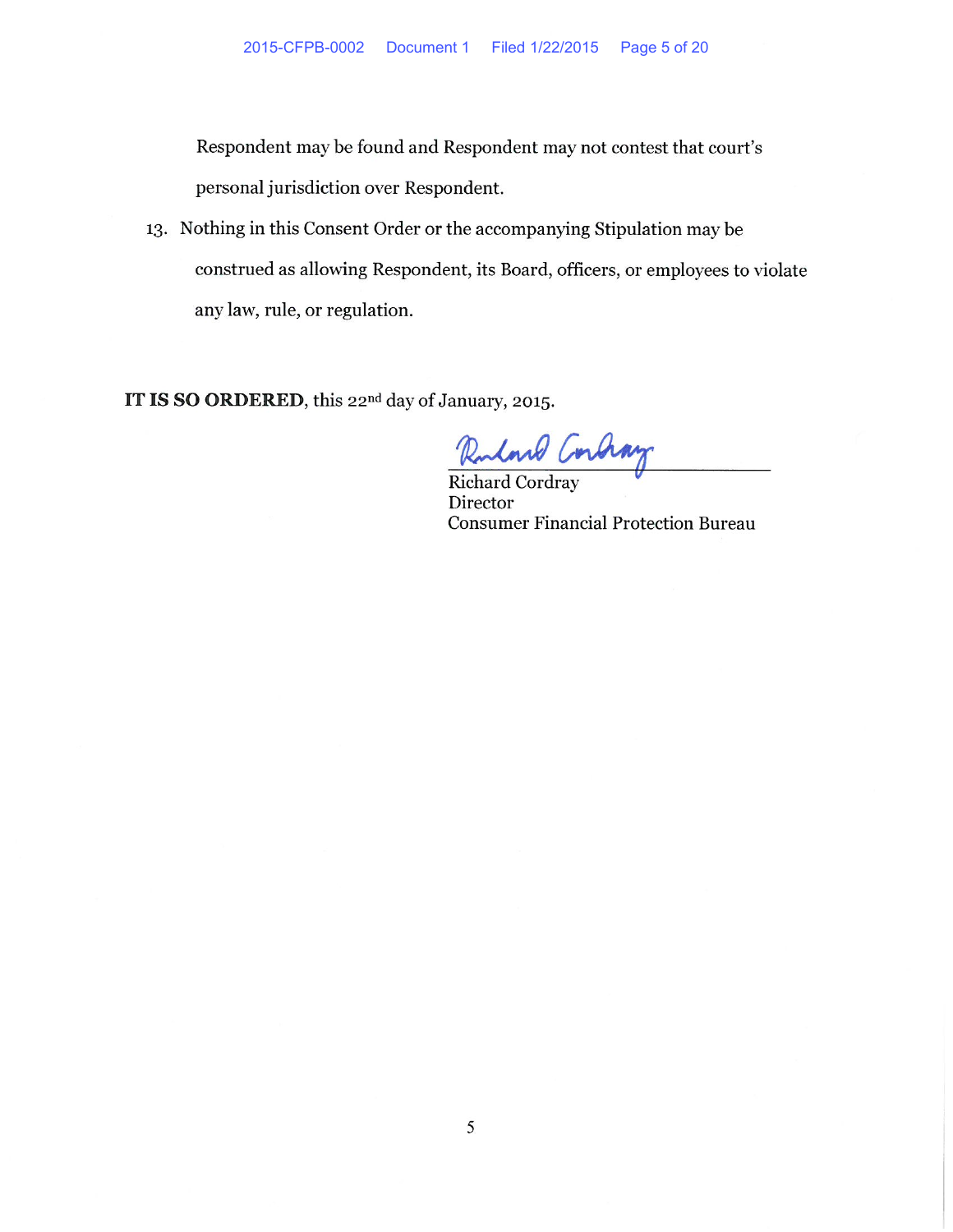Respondent may be found and Respondent may not contest that court's personal jurisdiction over Respondent.

13. Nothing in this Consent Order or the accompanying Stipulation may be construed as allowing Respondent, its Board, officers, or employees to violate any law, rule, or regulation.

IT IS SO ORDERED, this 22nd day of January, 2015.

Ruland Corchay

Director **Consumer Financial Protection Bureau**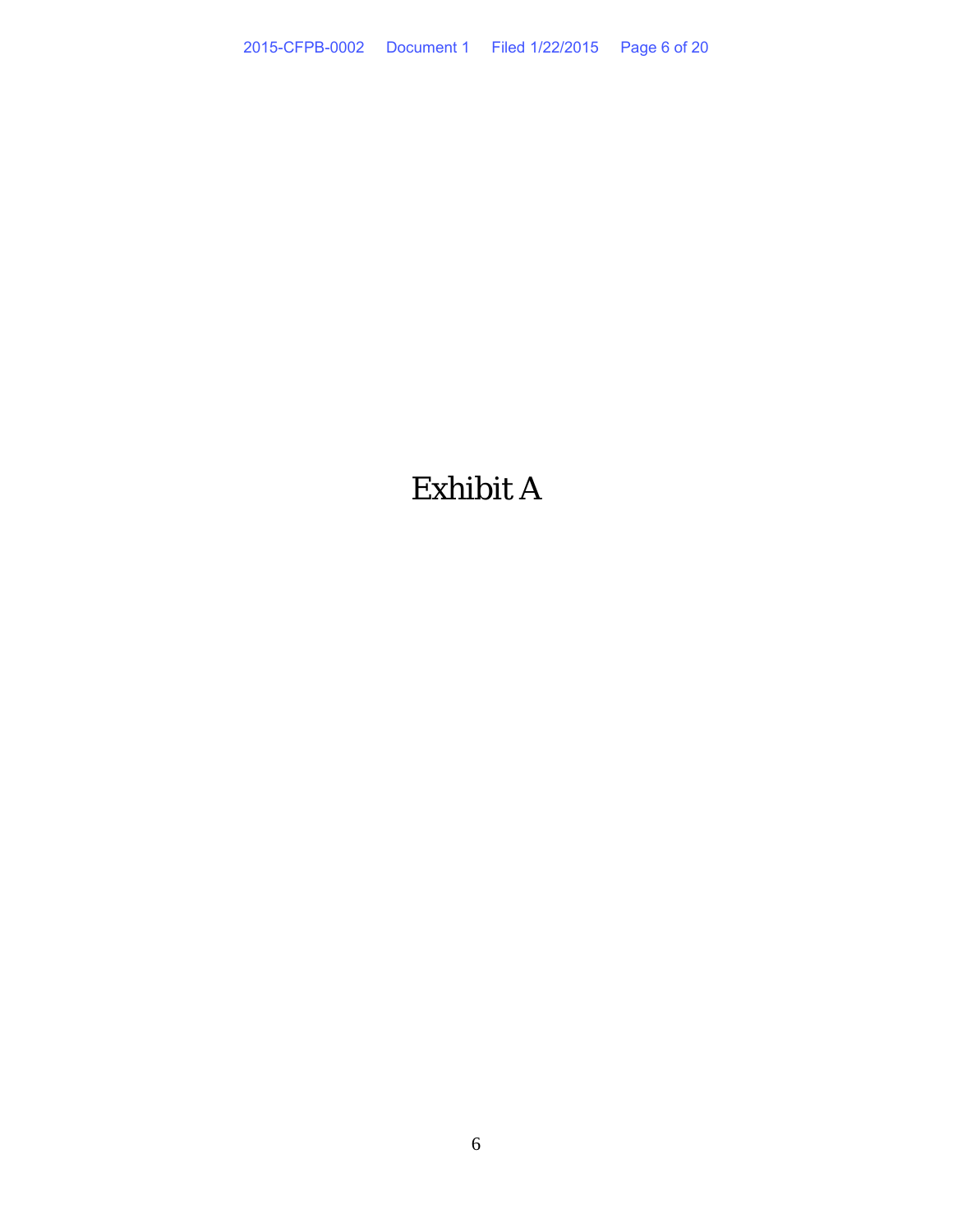# Exhibit A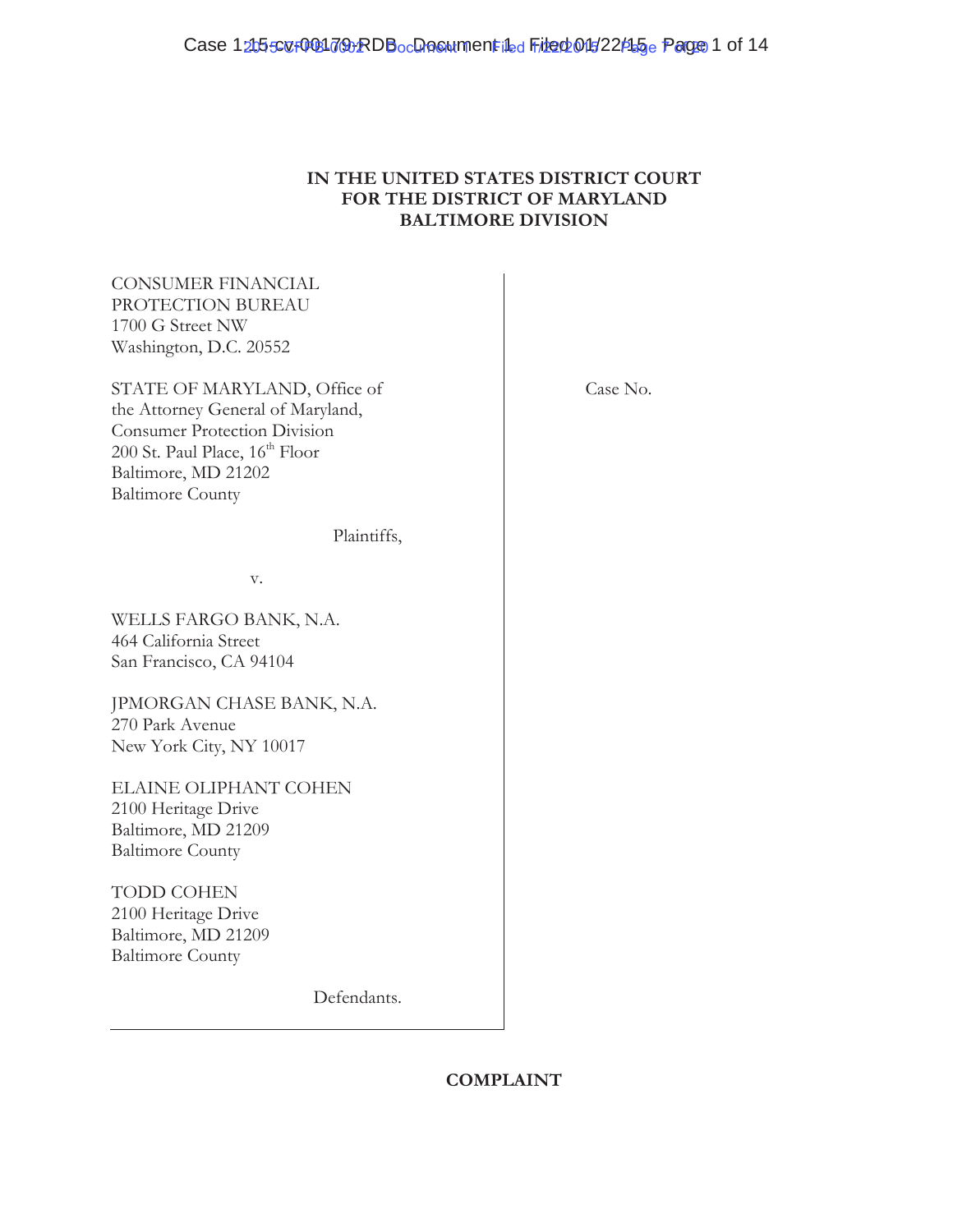# **IN THE UNITED STATES DISTRICT COURT FOR THE DISTRICT OF MARYLAND BALTIMORE DIVISION**

CONSUMER FINANCIAL PROTECTION BUREAU 1700 G Street NW Washington, D.C. 20552

STATE OF MARYLAND, Office of the Attorney General of Maryland, Consumer Protection Division 200 St. Paul Place,  $16<sup>th</sup>$  Floor Baltimore, MD 21202 Baltimore County

Plaintiffs,

v.

WELLS FARGO BANK, N.A. 464 California Street San Francisco, CA 94104

JPMORGAN CHASE BANK, N.A. 270 Park Avenue New York City, NY 10017

ELAINE OLIPHANT COHEN 2100 Heritage Drive Baltimore, MD 21209 Baltimore County

TODD COHEN 2100 Heritage Drive Baltimore, MD 21209 Baltimore County

Defendants.

Case No.

# **COMPLAINT**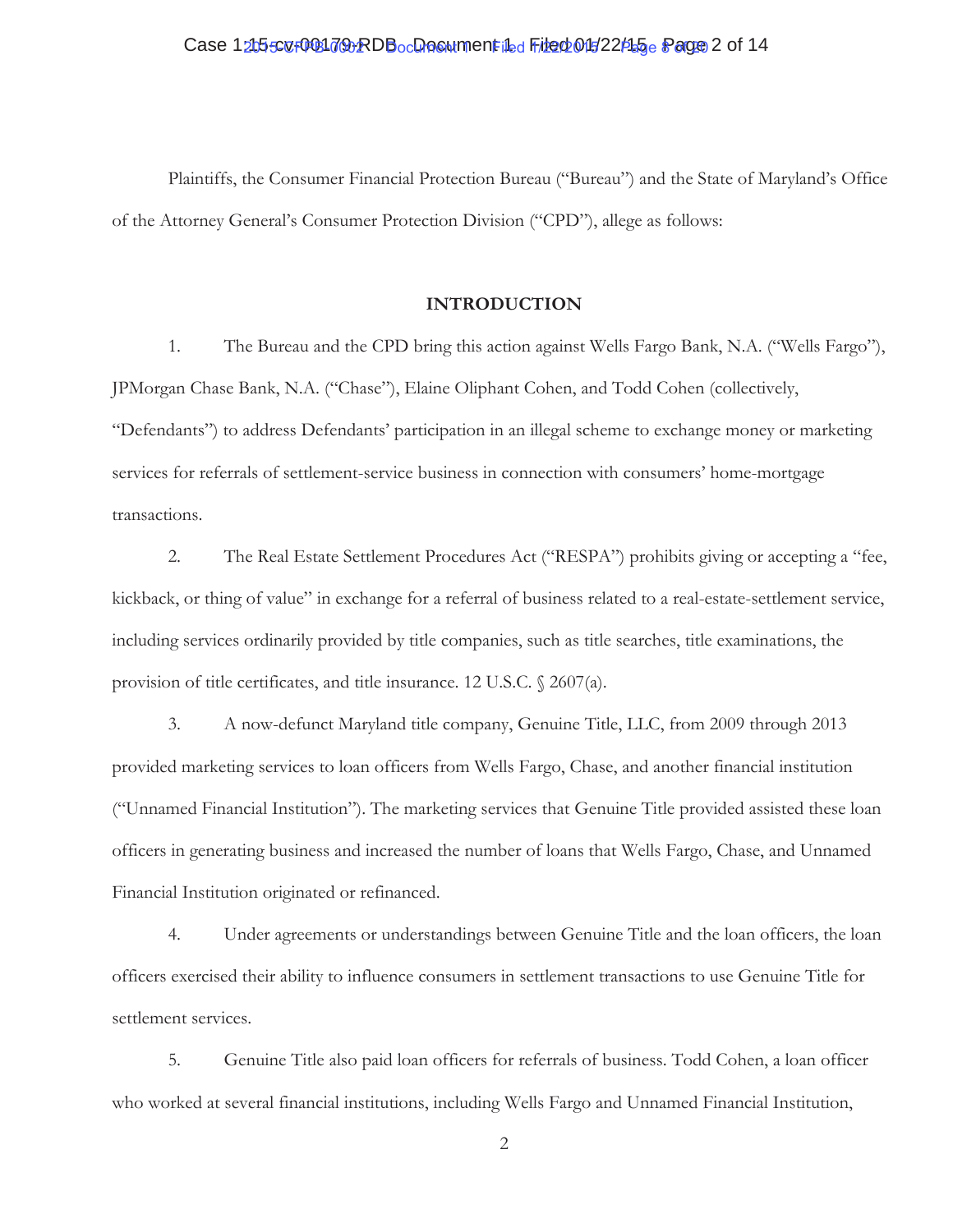# Case 1215507001792RDBocDooumentiLed File 005/22/15 e Page 2 of 14

Plaintiffs, the Consumer Financial Protection Bureau ("Bureau") and the State of Maryland's Office of the Attorney General's Consumer Protection Division ("CPD"), allege as follows:

#### **INTRODUCTION**

1. The Bureau and the CPD bring this action against Wells Fargo Bank, N.A. ("Wells Fargo"), JPMorgan Chase Bank, N.A. ("Chase"), Elaine Oliphant Cohen, and Todd Cohen (collectively, "Defendants") to address Defendants' participation in an illegal scheme to exchange money or marketing services for referrals of settlement-service business in connection with consumers' home-mortgage transactions.

2. The Real Estate Settlement Procedures Act ("RESPA") prohibits giving or accepting a "fee, kickback, or thing of value" in exchange for a referral of business related to a real-estate-settlement service, including services ordinarily provided by title companies, such as title searches, title examinations, the provision of title certificates, and title insurance. 12 U.S.C. § 2607(a).

3. A now-defunct Maryland title company, Genuine Title, LLC, from 2009 through 2013 provided marketing services to loan officers from Wells Fargo, Chase, and another financial institution ("Unnamed Financial Institution"). The marketing services that Genuine Title provided assisted these loan officers in generating business and increased the number of loans that Wells Fargo, Chase, and Unnamed Financial Institution originated or refinanced.

4. Under agreements or understandings between Genuine Title and the loan officers, the loan officers exercised their ability to influence consumers in settlement transactions to use Genuine Title for settlement services.

5. Genuine Title also paid loan officers for referrals of business. Todd Cohen, a loan officer who worked at several financial institutions, including Wells Fargo and Unnamed Financial Institution,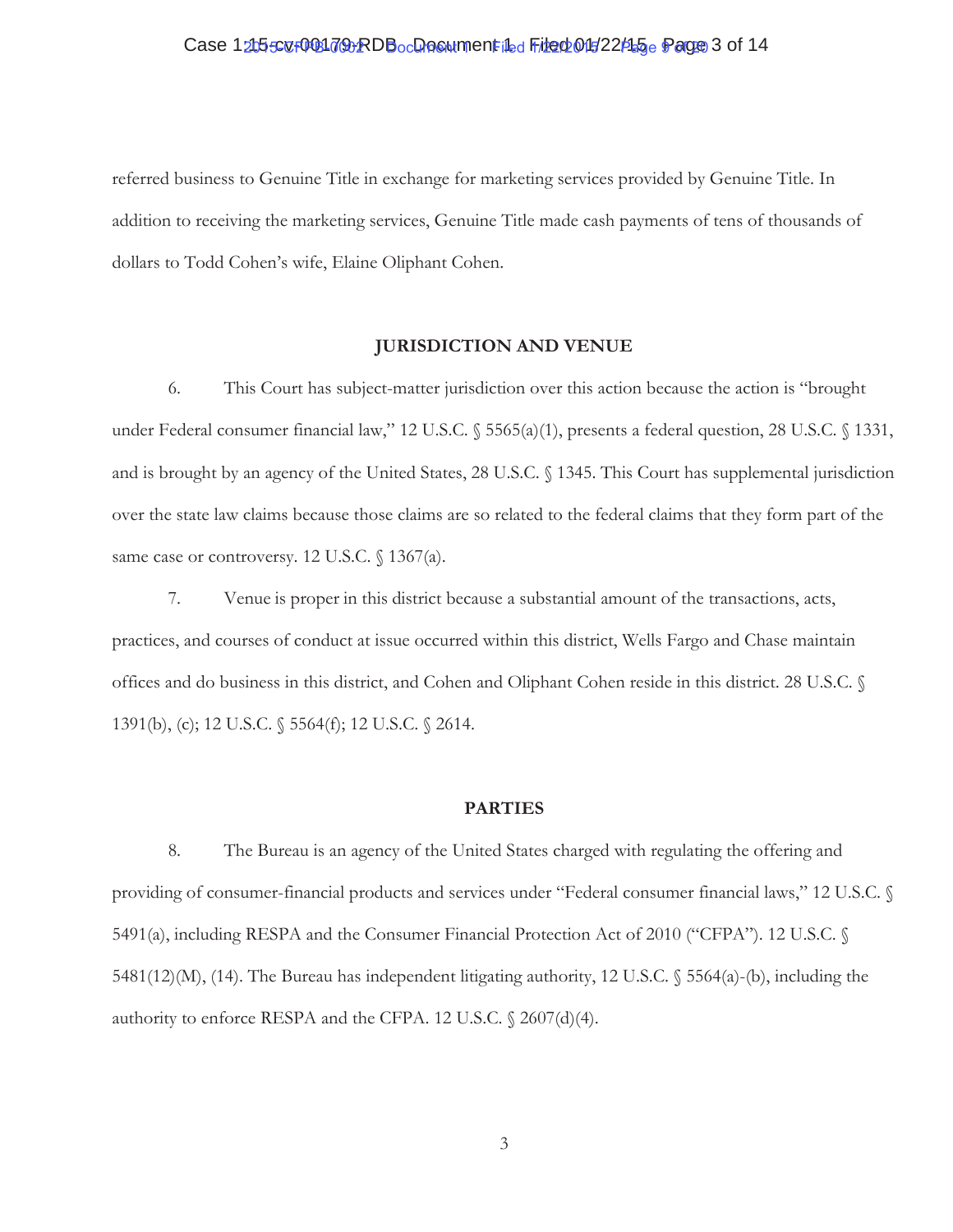# Case 1215507001792RDBocDooumentiLed File 005/22/15 e Page 3 of 14

referred business to Genuine Title in exchange for marketing services provided by Genuine Title. In addition to receiving the marketing services, Genuine Title made cash payments of tens of thousands of dollars to Todd Cohen's wife, Elaine Oliphant Cohen.

#### **JURISDICTION AND VENUE**

6. This Court has subject-matter jurisdiction over this action because the action is "brought under Federal consumer financial law," 12 U.S.C. § 5565(a)(1), presents a federal question, 28 U.S.C. § 1331, and is brought by an agency of the United States, 28 U.S.C. § 1345. This Court has supplemental jurisdiction over the state law claims because those claims are so related to the federal claims that they form part of the same case or controversy. 12 U.S.C. § 1367(a).

7. Venue is proper in this district because a substantial amount of the transactions, acts, practices, and courses of conduct at issue occurred within this district, Wells Fargo and Chase maintain offices and do business in this district, and Cohen and Oliphant Cohen reside in this district. 28 U.S.C. § 1391(b), (c); 12 U.S.C. § 5564(f); 12 U.S.C. § 2614.

#### **PARTIES**

8. The Bureau is an agency of the United States charged with regulating the offering and providing of consumer-financial products and services under "Federal consumer financial laws," 12 U.S.C. § 5491(a), including RESPA and the Consumer Financial Protection Act of 2010 ("CFPA"). 12 U.S.C. § 5481(12)(M), (14). The Bureau has independent litigating authority, 12 U.S.C. § 5564(a)-(b), including the authority to enforce RESPA and the CFPA. 12 U.S.C. § 2607(d)(4).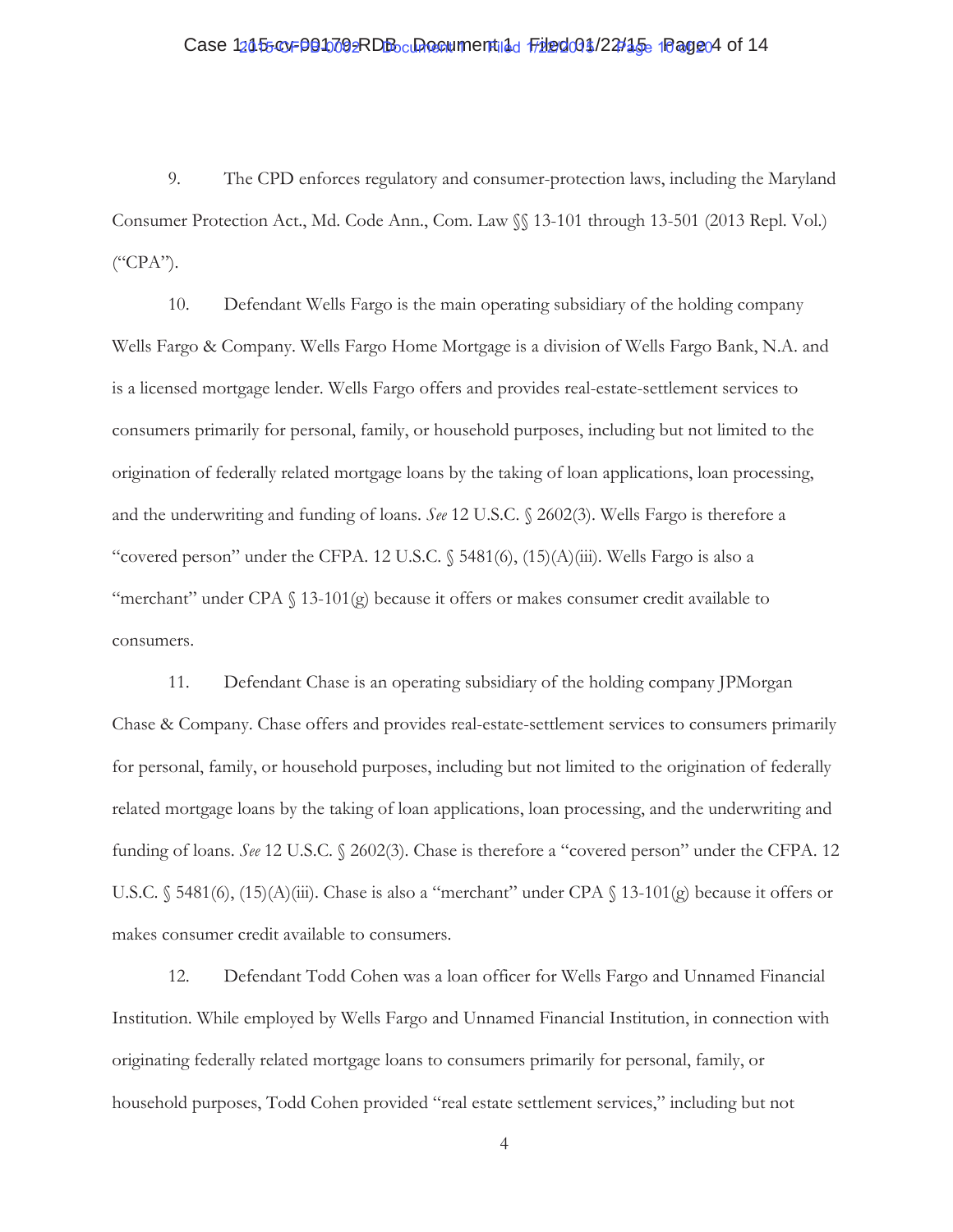# Case 12055 ov 001009RDB current 10 Filed 01/22/15 1 Page 4 of 14

9. The CPD enforces regulatory and consumer-protection laws, including the Maryland Consumer Protection Act., Md. Code Ann., Com. Law §§ 13-101 through 13-501 (2013 Repl. Vol.)  $($ "CPA").

10. Defendant Wells Fargo is the main operating subsidiary of the holding company Wells Fargo & Company. Wells Fargo Home Mortgage is a division of Wells Fargo Bank, N.A. and is a licensed mortgage lender. Wells Fargo offers and provides real-estate-settlement services to consumers primarily for personal, family, or household purposes, including but not limited to the origination of federally related mortgage loans by the taking of loan applications, loan processing, and the underwriting and funding of loans. *See* 12 U.S.C. § 2602(3). Wells Fargo is therefore a "covered person" under the CFPA. 12 U.S.C.  $\S$  5481(6), (15)(A)(iii). Wells Fargo is also a "merchant" under CPA  $\S$  13-101(g) because it offers or makes consumer credit available to consumers.

11. Defendant Chase is an operating subsidiary of the holding company JPMorgan Chase & Company. Chase offers and provides real-estate-settlement services to consumers primarily for personal, family, or household purposes, including but not limited to the origination of federally related mortgage loans by the taking of loan applications, loan processing, and the underwriting and funding of loans. *See* 12 U.S.C. § 2602(3). Chase is therefore a "covered person" under the CFPA. 12 U.S.C. § 5481(6), (15)(A)(iii). Chase is also a "merchant" under CPA § 13-101(g) because it offers or makes consumer credit available to consumers.

12. Defendant Todd Cohen was a loan officer for Wells Fargo and Unnamed Financial Institution. While employed by Wells Fargo and Unnamed Financial Institution, in connection with originating federally related mortgage loans to consumers primarily for personal, family, or household purposes, Todd Cohen provided "real estate settlement services," including but not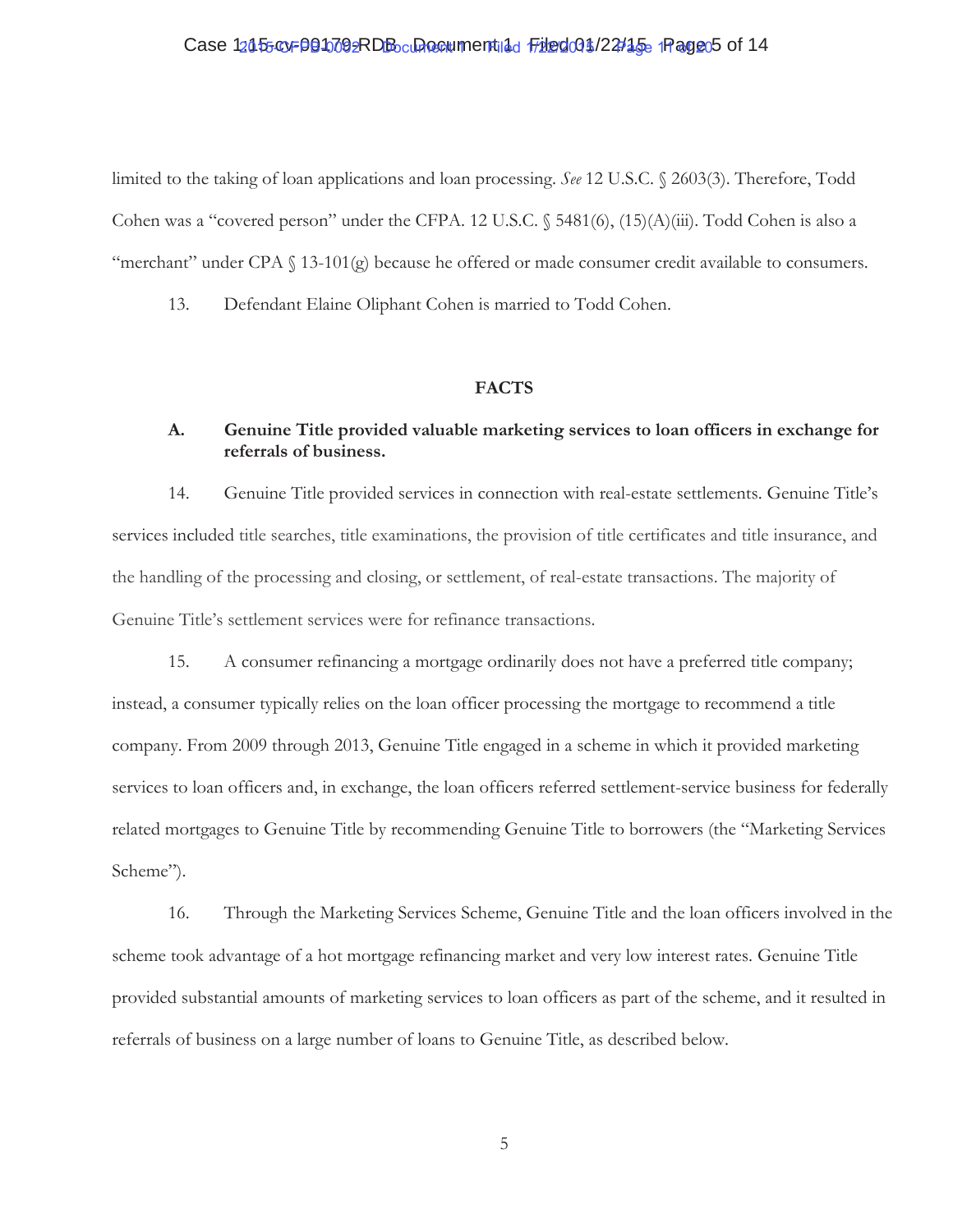# Case 12055 or 001009RDB current nulled Filed 01/22/15 1 Page 5 of 14

limited to the taking of loan applications and loan processing. *See* 12 U.S.C. § 2603(3). Therefore, Todd Cohen was a "covered person" under the CFPA. 12 U.S.C. § 5481(6), (15)(A)(iii). Todd Cohen is also a "merchant" under CPA  $\S$  13-101(g) because he offered or made consumer credit available to consumers.

13. Defendant Elaine Oliphant Cohen is married to Todd Cohen.

#### **FACTS**

# **A. Genuine Title provided valuable marketing services to loan officers in exchange for referrals of business.**

14. Genuine Title provided services in connection with real-estate settlements. Genuine Title's services included title searches, title examinations, the provision of title certificates and title insurance, and the handling of the processing and closing, or settlement, of real-estate transactions. The majority of Genuine Title's settlement services were for refinance transactions.

15. A consumer refinancing a mortgage ordinarily does not have a preferred title company; instead, a consumer typically relies on the loan officer processing the mortgage to recommend a title company. From 2009 through 2013, Genuine Title engaged in a scheme in which it provided marketing services to loan officers and, in exchange, the loan officers referred settlement-service business for federally related mortgages to Genuine Title by recommending Genuine Title to borrowers (the "Marketing Services Scheme").

16. Through the Marketing Services Scheme, Genuine Title and the loan officers involved in the scheme took advantage of a hot mortgage refinancing market and very low interest rates. Genuine Title provided substantial amounts of marketing services to loan officers as part of the scheme, and it resulted in referrals of business on a large number of loans to Genuine Title, as described below.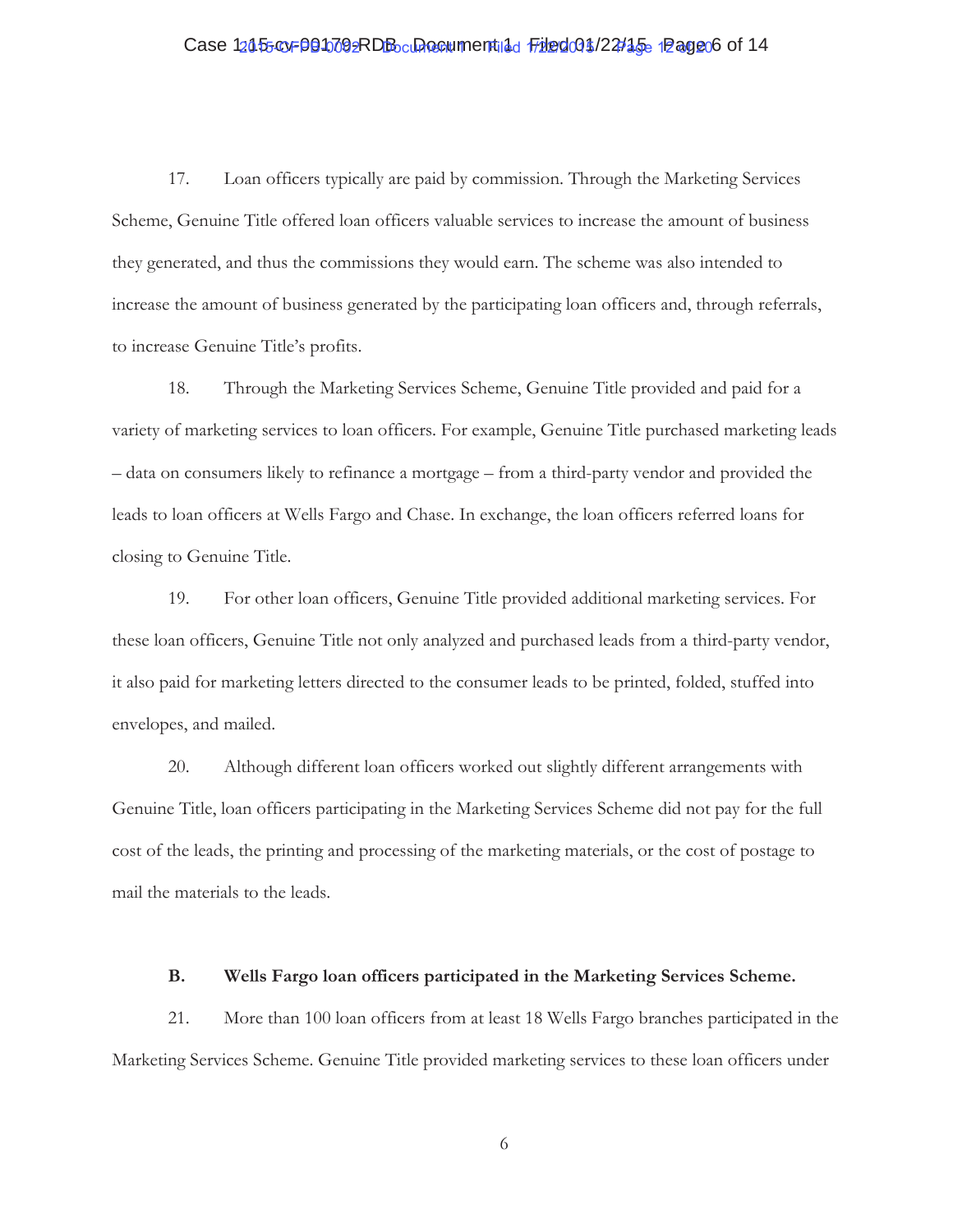# Case 12055 ov 001009RDB current 10 Filed 01/22/15 12 age 06 of 14

17. Loan officers typically are paid by commission. Through the Marketing Services Scheme, Genuine Title offered loan officers valuable services to increase the amount of business they generated, and thus the commissions they would earn. The scheme was also intended to increase the amount of business generated by the participating loan officers and, through referrals, to increase Genuine Title's profits.

18. Through the Marketing Services Scheme, Genuine Title provided and paid for a variety of marketing services to loan officers. For example, Genuine Title purchased marketing leads – data on consumers likely to refinance a mortgage – from a third-party vendor and provided the leads to loan officers at Wells Fargo and Chase. In exchange, the loan officers referred loans for closing to Genuine Title.

19. For other loan officers, Genuine Title provided additional marketing services. For these loan officers, Genuine Title not only analyzed and purchased leads from a third-party vendor, it also paid for marketing letters directed to the consumer leads to be printed, folded, stuffed into envelopes, and mailed.

20. Although different loan officers worked out slightly different arrangements with Genuine Title, loan officers participating in the Marketing Services Scheme did not pay for the full cost of the leads, the printing and processing of the marketing materials, or the cost of postage to mail the materials to the leads.

### **B. Wells Fargo loan officers participated in the Marketing Services Scheme.**

21. More than 100 loan officers from at least 18 Wells Fargo branches participated in the Marketing Services Scheme. Genuine Title provided marketing services to these loan officers under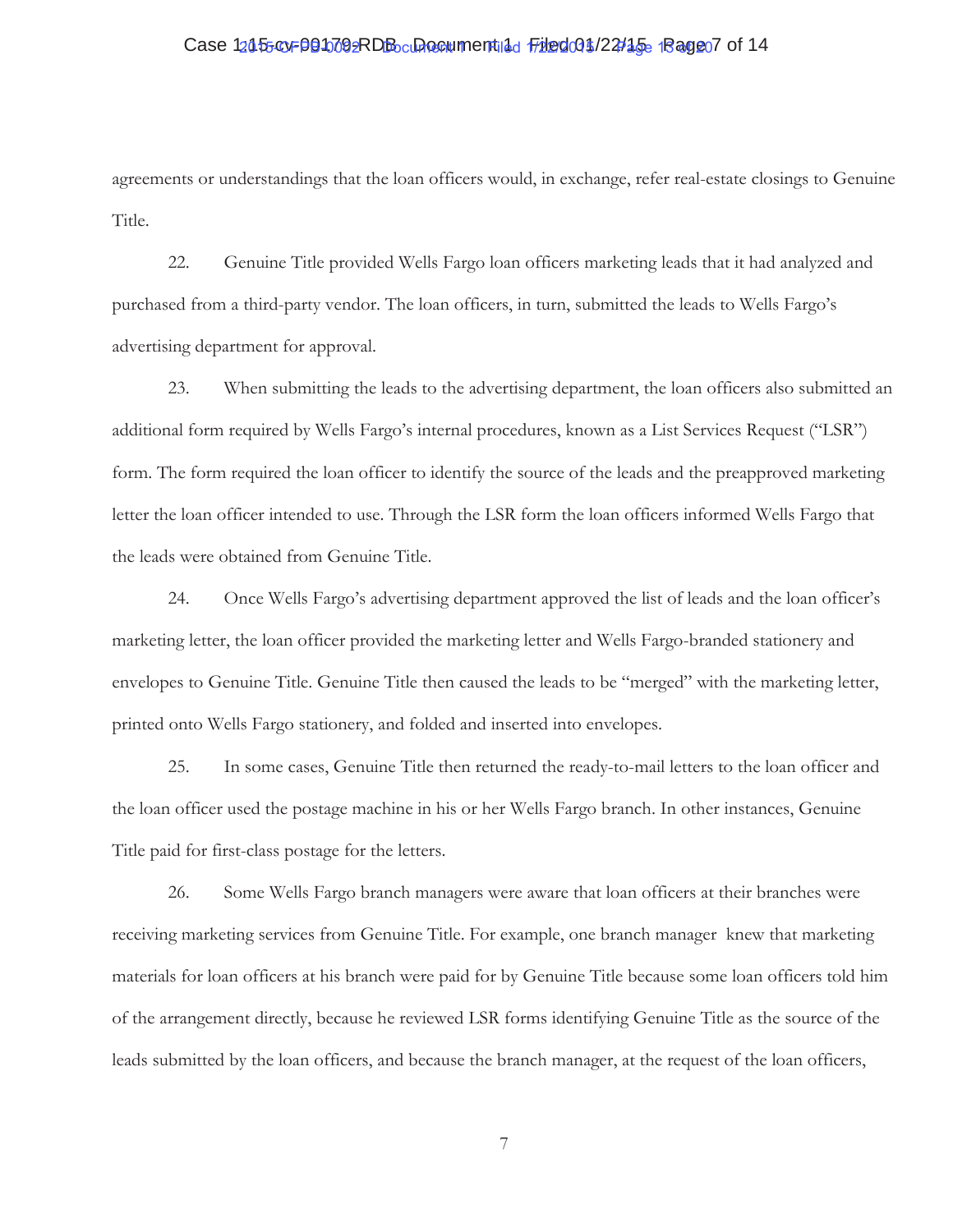# Case 12055 ov 001009RDB current 10 Filed 01/22/15 1 Page 07 of 14

agreements or understandings that the loan officers would, in exchange, refer real-estate closings to Genuine Title.

22. Genuine Title provided Wells Fargo loan officers marketing leads that it had analyzed and purchased from a third-party vendor. The loan officers, in turn, submitted the leads to Wells Fargo's advertising department for approval.

23. When submitting the leads to the advertising department, the loan officers also submitted an additional form required by Wells Fargo's internal procedures, known as a List Services Request ("LSR") form. The form required the loan officer to identify the source of the leads and the preapproved marketing letter the loan officer intended to use. Through the LSR form the loan officers informed Wells Fargo that the leads were obtained from Genuine Title.

24. Once Wells Fargo's advertising department approved the list of leads and the loan officer's marketing letter, the loan officer provided the marketing letter and Wells Fargo-branded stationery and envelopes to Genuine Title. Genuine Title then caused the leads to be "merged" with the marketing letter, printed onto Wells Fargo stationery, and folded and inserted into envelopes.

25. In some cases, Genuine Title then returned the ready-to-mail letters to the loan officer and the loan officer used the postage machine in his or her Wells Fargo branch. In other instances, Genuine Title paid for first-class postage for the letters.

26. Some Wells Fargo branch managers were aware that loan officers at their branches were receiving marketing services from Genuine Title. For example, one branch manager knew that marketing materials for loan officers at his branch were paid for by Genuine Title because some loan officers told him of the arrangement directly, because he reviewed LSR forms identifying Genuine Title as the source of the leads submitted by the loan officers, and because the branch manager, at the request of the loan officers,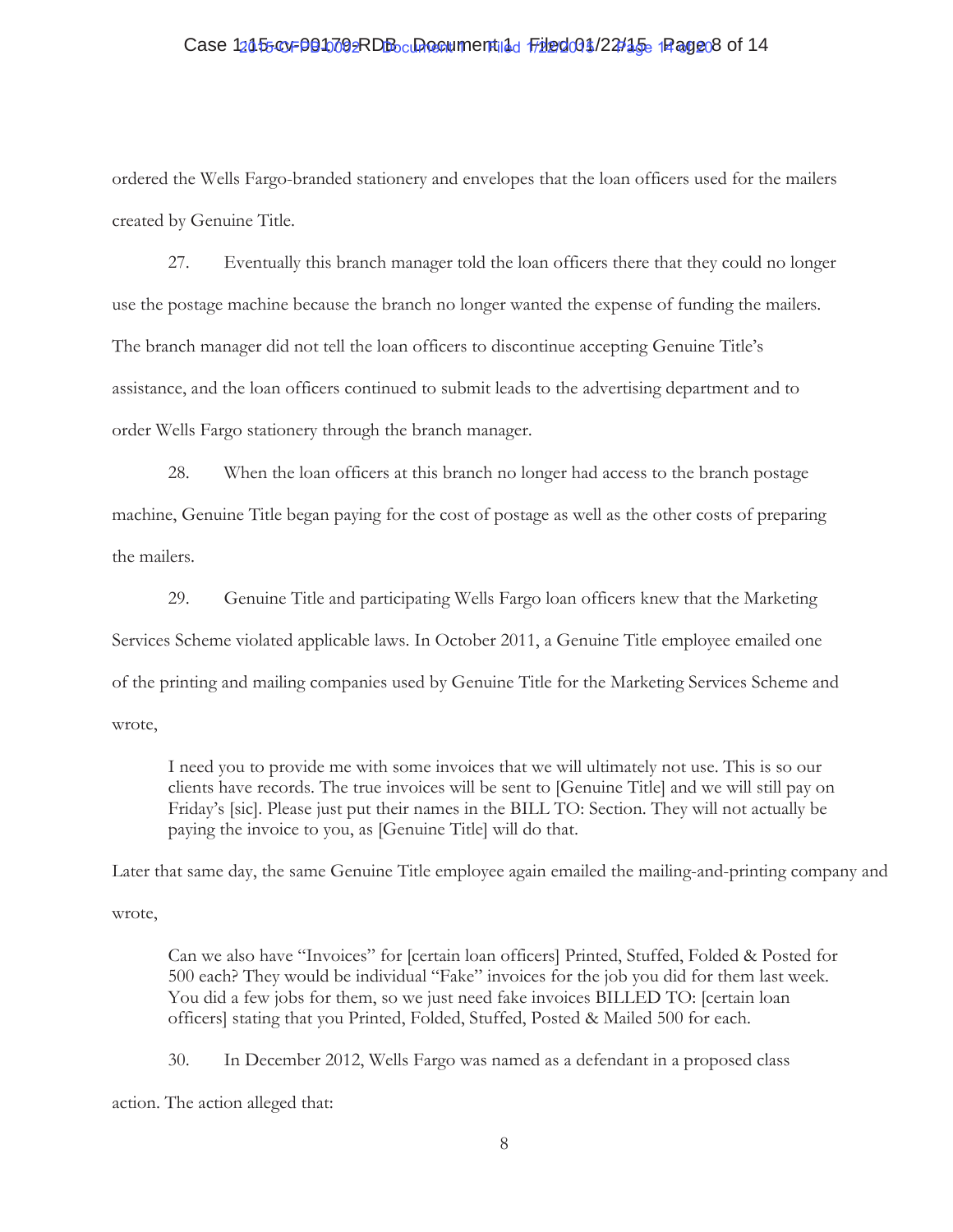# Case 12055 ov 001009RDB current 10 Filed 01/22/15 Page 8 of 14

ordered the Wells Fargo-branded stationery and envelopes that the loan officers used for the mailers created by Genuine Title.

27. Eventually this branch manager told the loan officers there that they could no longer use the postage machine because the branch no longer wanted the expense of funding the mailers. The branch manager did not tell the loan officers to discontinue accepting Genuine Title's assistance, and the loan officers continued to submit leads to the advertising department and to order Wells Fargo stationery through the branch manager.

28. When the loan officers at this branch no longer had access to the branch postage machine, Genuine Title began paying for the cost of postage as well as the other costs of preparing the mailers.

29. Genuine Title and participating Wells Fargo loan officers knew that the Marketing Services Scheme violated applicable laws. In October 2011, a Genuine Title employee emailed one of the printing and mailing companies used by Genuine Title for the Marketing Services Scheme and wrote,

I need you to provide me with some invoices that we will ultimately not use. This is so our clients have records. The true invoices will be sent to [Genuine Title] and we will still pay on Friday's [sic]. Please just put their names in the BILL TO: Section. They will not actually be paying the invoice to you, as [Genuine Title] will do that.

Later that same day, the same Genuine Title employee again emailed the mailing-and-printing company and wrote,

Can we also have "Invoices" for [certain loan officers] Printed, Stuffed, Folded & Posted for 500 each? They would be individual "Fake" invoices for the job you did for them last week. You did a few jobs for them, so we just need fake invoices BILLED TO: [certain loan officers] stating that you Printed, Folded, Stuffed, Posted & Mailed 500 for each.

30. In December 2012, Wells Fargo was named as a defendant in a proposed class

action. The action alleged that: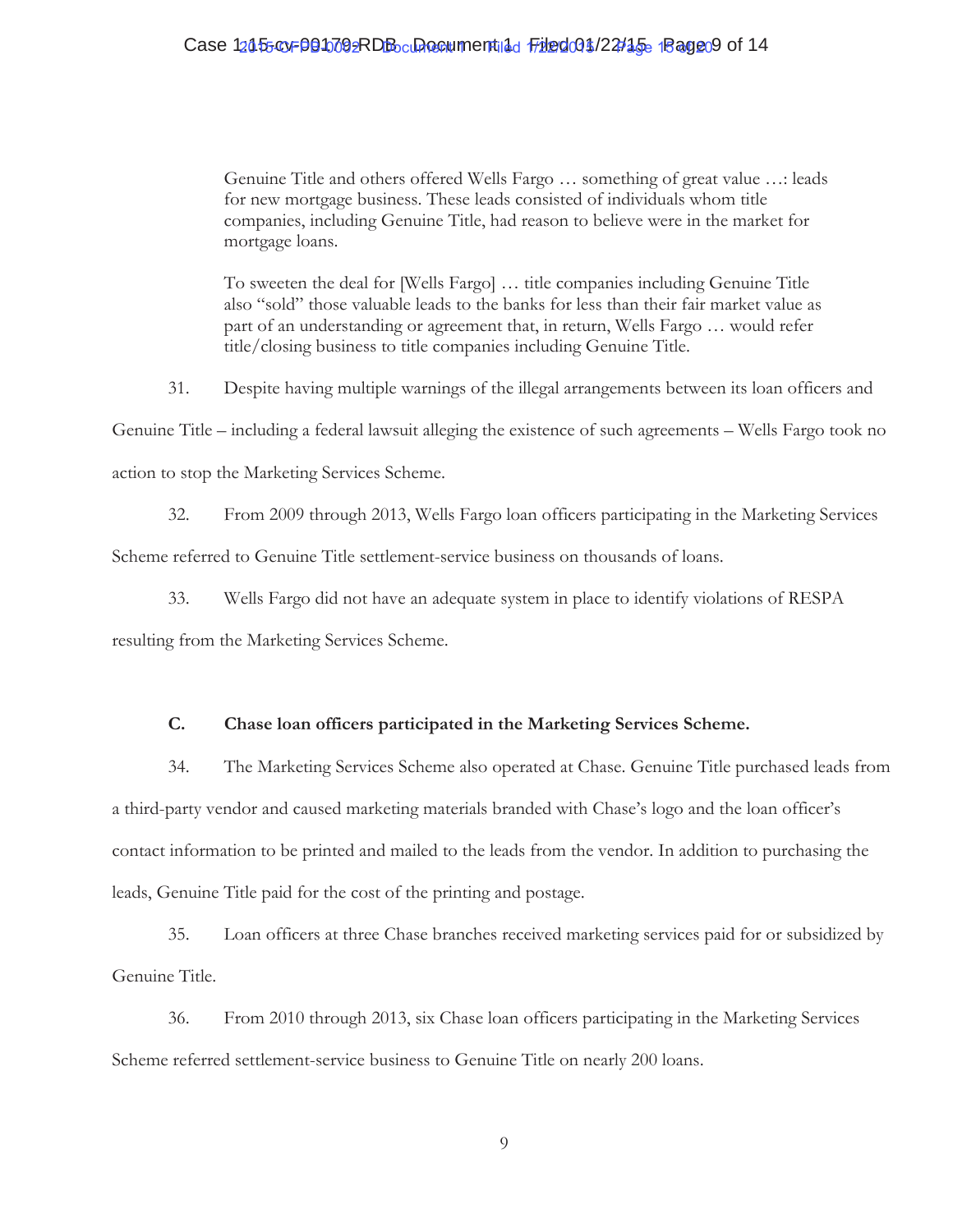# Case 12055 ov 001009RDB current 10 Filed 01/22/15 1 Page 09 of 14

Genuine Title and others offered Wells Fargo … something of great value …: leads for new mortgage business. These leads consisted of individuals whom title companies, including Genuine Title, had reason to believe were in the market for mortgage loans.

To sweeten the deal for [Wells Fargo] … title companies including Genuine Title also "sold" those valuable leads to the banks for less than their fair market value as part of an understanding or agreement that, in return, Wells Fargo … would refer title/closing business to title companies including Genuine Title.

31. Despite having multiple warnings of the illegal arrangements between its loan officers and

Genuine Title – including a federal lawsuit alleging the existence of such agreements – Wells Fargo took no

action to stop the Marketing Services Scheme.

32. From 2009 through 2013, Wells Fargo loan officers participating in the Marketing Services

Scheme referred to Genuine Title settlement-service business on thousands of loans.

33. Wells Fargo did not have an adequate system in place to identify violations of RESPA

resulting from the Marketing Services Scheme.

## **C. Chase loan officers participated in the Marketing Services Scheme.**

34. The Marketing Services Scheme also operated at Chase. Genuine Title purchased leads from a third-party vendor and caused marketing materials branded with Chase's logo and the loan officer's contact information to be printed and mailed to the leads from the vendor. In addition to purchasing the leads, Genuine Title paid for the cost of the printing and postage.

35. Loan officers at three Chase branches received marketing services paid for or subsidized by Genuine Title.

36. From 2010 through 2013, six Chase loan officers participating in the Marketing Services Scheme referred settlement-service business to Genuine Title on nearly 200 loans.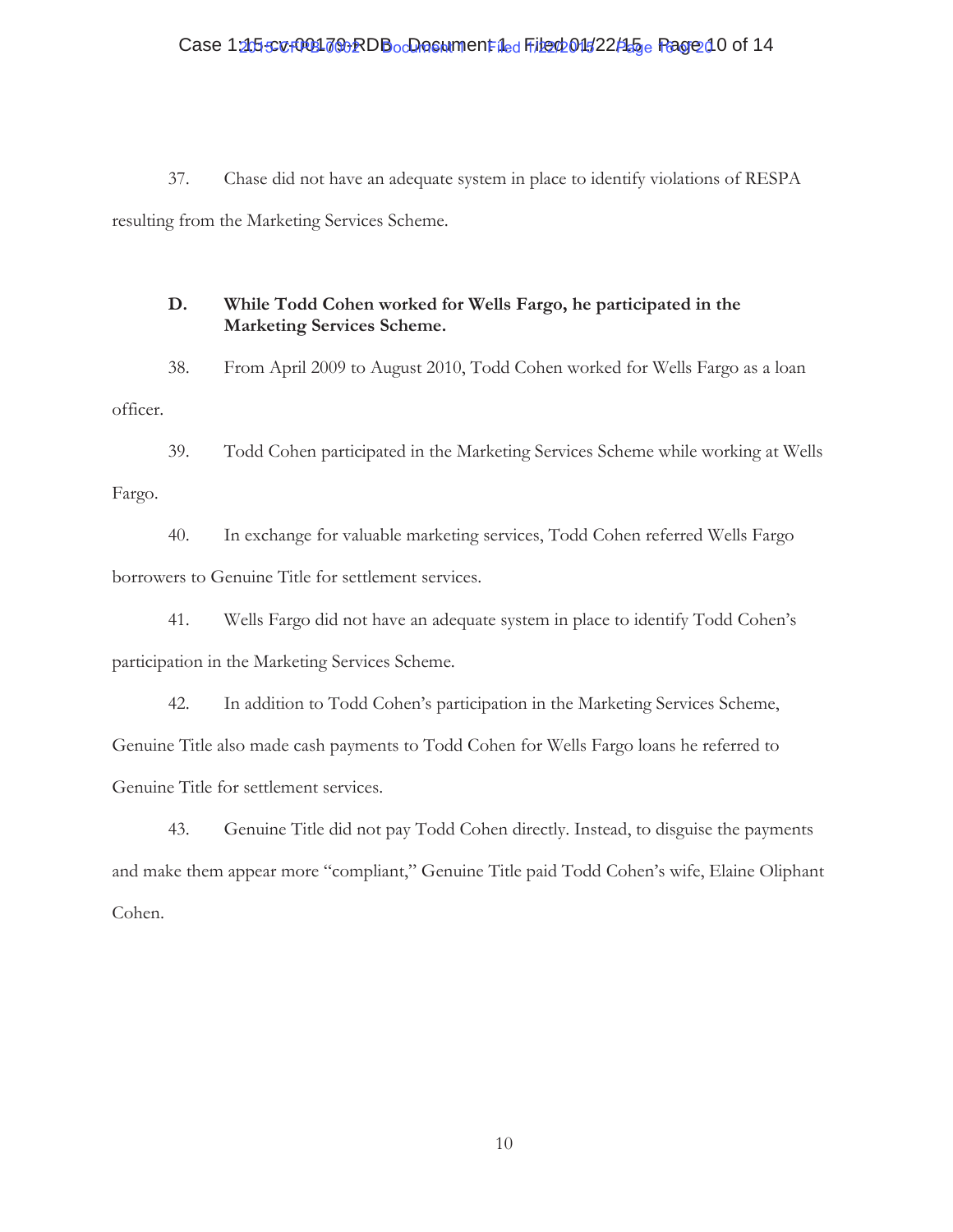# Case 12t55cv+001709RDBocDocument 1ed File 001522145 e Page 10 of 14

37. Chase did not have an adequate system in place to identify violations of RESPA resulting from the Marketing Services Scheme.

## **D. While Todd Cohen worked for Wells Fargo, he participated in the Marketing Services Scheme.**

38. From April 2009 to August 2010, Todd Cohen worked for Wells Fargo as a loan officer.

39. Todd Cohen participated in the Marketing Services Scheme while working at Wells Fargo.

40. In exchange for valuable marketing services, Todd Cohen referred Wells Fargo borrowers to Genuine Title for settlement services.

41. Wells Fargo did not have an adequate system in place to identify Todd Cohen's participation in the Marketing Services Scheme.

42. In addition to Todd Cohen's participation in the Marketing Services Scheme, Genuine Title also made cash payments to Todd Cohen for Wells Fargo loans he referred to Genuine Title for settlement services.

43. Genuine Title did not pay Todd Cohen directly. Instead, to disguise the payments and make them appear more "compliant," Genuine Title paid Todd Cohen's wife, Elaine Oliphant Cohen.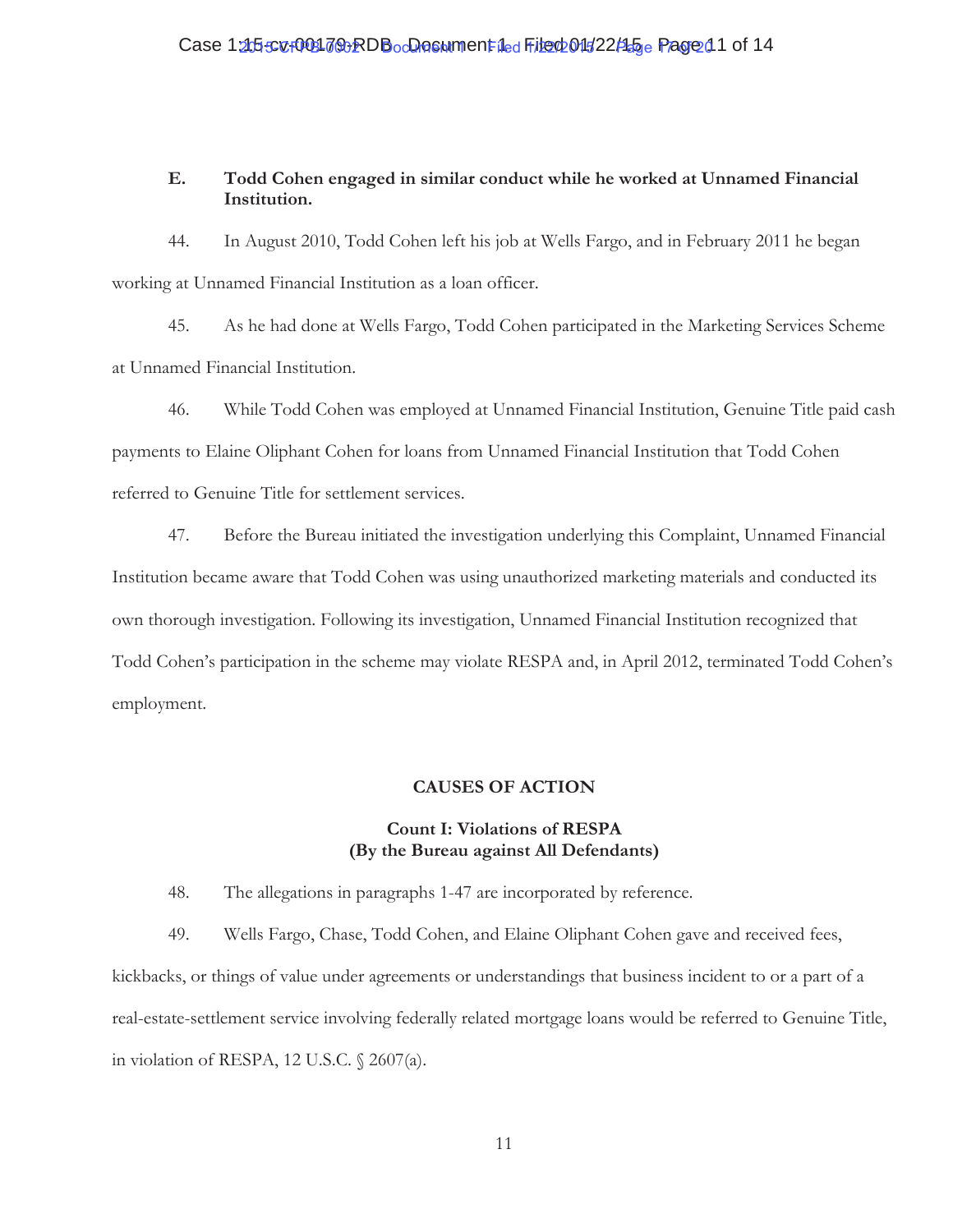# **E. Todd Cohen engaged in similar conduct while he worked at Unnamed Financial Institution.**

44. In August 2010, Todd Cohen left his job at Wells Fargo, and in February 2011 he began working at Unnamed Financial Institution as a loan officer.

45. As he had done at Wells Fargo, Todd Cohen participated in the Marketing Services Scheme at Unnamed Financial Institution.

46. While Todd Cohen was employed at Unnamed Financial Institution, Genuine Title paid cash payments to Elaine Oliphant Cohen for loans from Unnamed Financial Institution that Todd Cohen referred to Genuine Title for settlement services.

47. Before the Bureau initiated the investigation underlying this Complaint, Unnamed Financial Institution became aware that Todd Cohen was using unauthorized marketing materials and conducted its own thorough investigation. Following its investigation, Unnamed Financial Institution recognized that Todd Cohen's participation in the scheme may violate RESPA and, in April 2012, terminated Todd Cohen's employment.

# **CAUSES OF ACTION**

# **Count I: Violations of RESPA (By the Bureau against All Defendants)**

48. The allegations in paragraphs 1-47 are incorporated by reference.

49. Wells Fargo, Chase, Todd Cohen, and Elaine Oliphant Cohen gave and received fees, kickbacks, or things of value under agreements or understandings that business incident to or a part of a real-estate-settlement service involving federally related mortgage loans would be referred to Genuine Title, in violation of RESPA, 12 U.S.C. § 2607(a).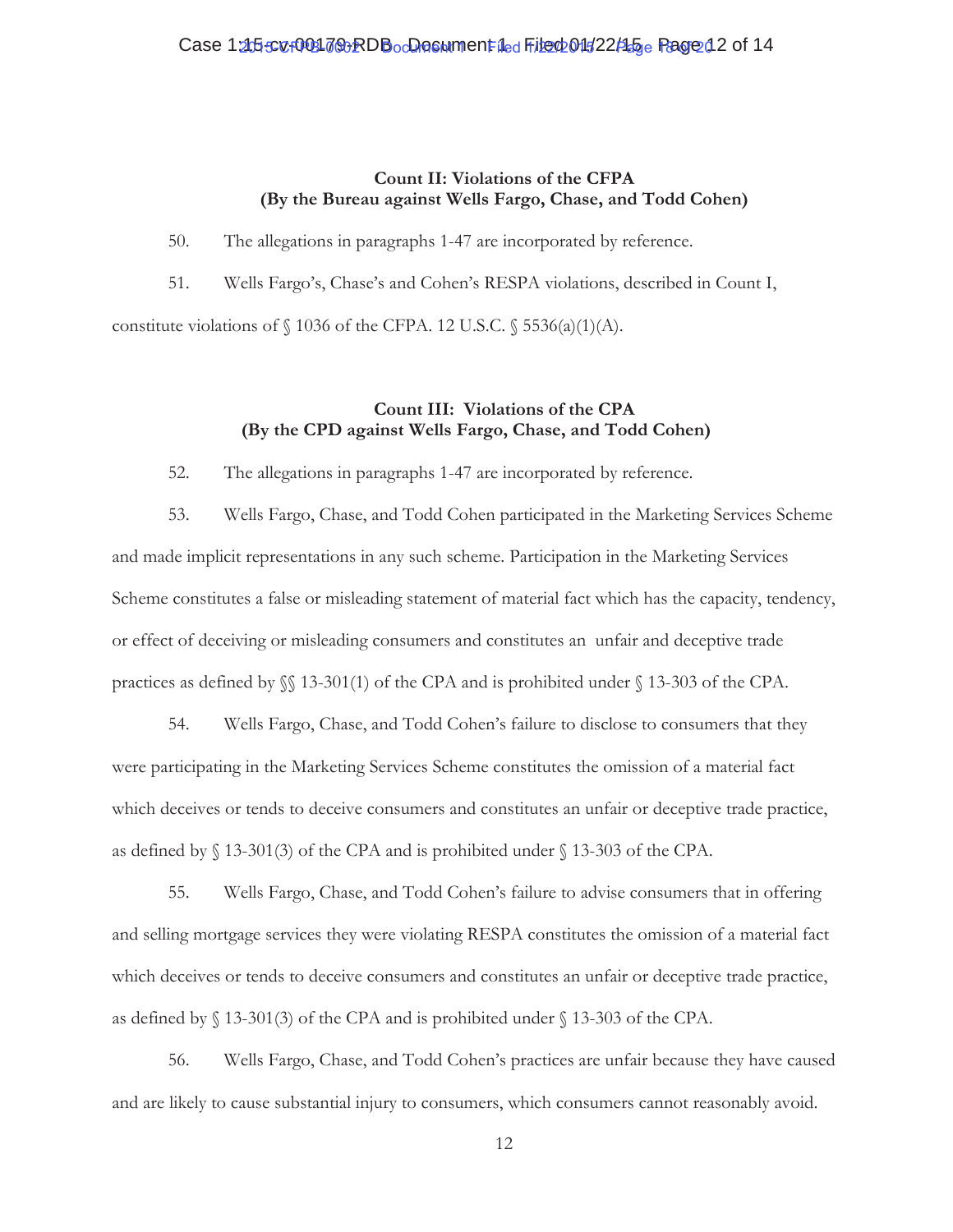# **Count II: Violations of the CFPA (By the Bureau against Wells Fargo, Chase, and Todd Cohen)**

50. The allegations in paragraphs 1-47 are incorporated by reference.

51. Wells Fargo's, Chase's and Cohen's RESPA violations, described in Count I, constitute violations of  $\{1036 \text{ of the CFPA. } 12 \text{ U.S.C. } \{5536(a)(1)(\text{A})\}.$ 

# **Count III: Violations of the CPA (By the CPD against Wells Fargo, Chase, and Todd Cohen)**

52. The allegations in paragraphs 1-47 are incorporated by reference.

53. Wells Fargo, Chase, and Todd Cohen participated in the Marketing Services Scheme and made implicit representations in any such scheme. Participation in the Marketing Services Scheme constitutes a false or misleading statement of material fact which has the capacity, tendency, or effect of deceiving or misleading consumers and constitutes an unfair and deceptive trade practices as defined by §§ 13-301(1) of the CPA and is prohibited under § 13-303 of the CPA.

54. Wells Fargo, Chase, and Todd Cohen's failure to disclose to consumers that they were participating in the Marketing Services Scheme constitutes the omission of a material fact which deceives or tends to deceive consumers and constitutes an unfair or deceptive trade practice, as defined by § 13-301(3) of the CPA and is prohibited under § 13-303 of the CPA.

55. Wells Fargo, Chase, and Todd Cohen's failure to advise consumers that in offering and selling mortgage services they were violating RESPA constitutes the omission of a material fact which deceives or tends to deceive consumers and constitutes an unfair or deceptive trade practice, as defined by § 13-301(3) of the CPA and is prohibited under § 13-303 of the CPA.

56. Wells Fargo, Chase, and Todd Cohen's practices are unfair because they have caused and are likely to cause substantial injury to consumers, which consumers cannot reasonably avoid.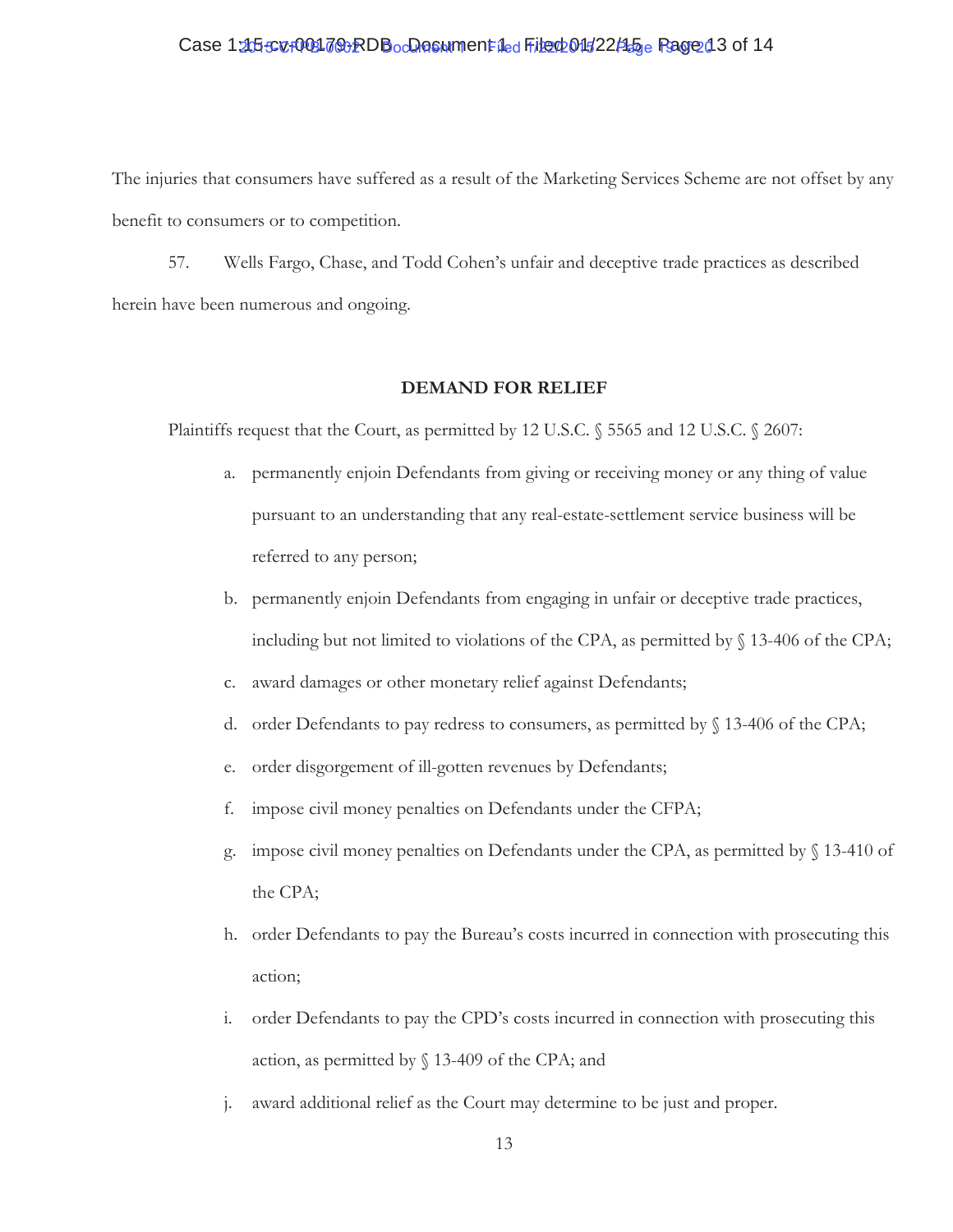# Case 12t55cv+00317&RDBocDocument 1ed File 001522145 e Page 13 of 14

The injuries that consumers have suffered as a result of the Marketing Services Scheme are not offset by any benefit to consumers or to competition.

57. Wells Fargo, Chase, and Todd Cohen's unfair and deceptive trade practices as described herein have been numerous and ongoing.

#### **DEMAND FOR RELIEF**

Plaintiffs request that the Court, as permitted by 12 U.S.C. § 5565 and 12 U.S.C. § 2607:

- a. permanently enjoin Defendants from giving or receiving money or any thing of value pursuant to an understanding that any real-estate-settlement service business will be referred to any person;
- b. permanently enjoin Defendants from engaging in unfair or deceptive trade practices, including but not limited to violations of the CPA, as permitted by § 13-406 of the CPA;
- c. award damages or other monetary relief against Defendants;
- d. order Defendants to pay redress to consumers, as permitted by  $\S$  13-406 of the CPA;
- e. order disgorgement of ill-gotten revenues by Defendants;
- f. impose civil money penalties on Defendants under the CFPA;
- g. impose civil money penalties on Defendants under the CPA, as permitted by § 13-410 of the CPA;
- h. order Defendants to pay the Bureau's costs incurred in connection with prosecuting this action;
- i. order Defendants to pay the CPD's costs incurred in connection with prosecuting this action, as permitted by § 13-409 of the CPA; and
- j. award additional relief as the Court may determine to be just and proper.